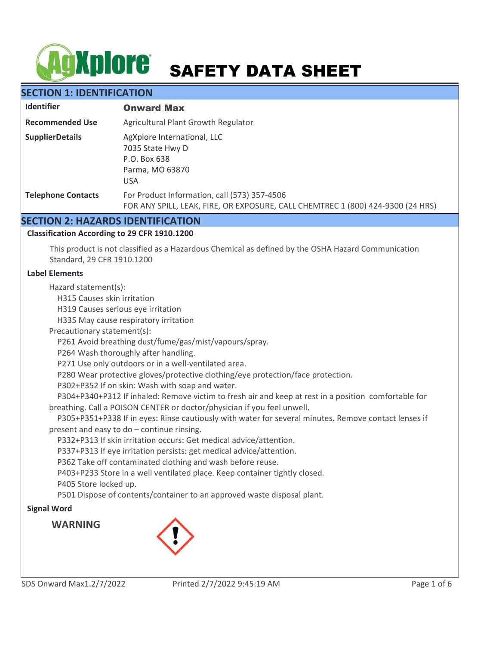# AGXplore SAFETY DATA SHEET

# **SECTION 1: IDENTIFICATION**

| <b>Identifier</b>         | <b>Onward Max</b>                                                                                                               |  |
|---------------------------|---------------------------------------------------------------------------------------------------------------------------------|--|
| <b>Recommended Use</b>    | Agricultural Plant Growth Regulator                                                                                             |  |
| <b>SupplierDetails</b>    | AgXplore International, LLC<br>7035 State Hwy D<br>P.O. Box 638<br>Parma, MO 63870<br><b>USA</b>                                |  |
| <b>Telephone Contacts</b> | For Product Information, call (573) 357-4506<br>FOR ANY SPILL, LEAK, FIRE, OR EXPOSURE, CALL CHEMTREC 1 (800) 424-9300 (24 HRS) |  |

# **SECTION 2: HAZARDS IDENTIFICATION**

## **Classification According to 29 CFR 1910.1200**

This product is not classified as a Hazardous Chemical as defined by the OSHA Hazard Communication Standard, 29 CFR 1910.1200

## **Label Elements**

Hazard statement(s):

H315 Causes skin irritation

H319 Causes serious eye irritation

H335 May cause respiratory irritation

Precautionary statement(s):

P261 Avoid breathing dust/fume/gas/mist/vapours/spray.

P264 Wash thoroughly after handling.

P271 Use only outdoors or in a well-ventilated area.

P280 Wear protective gloves/protective clothing/eye protection/face protection.

P302+P352 If on skin: Wash with soap and water.

 P304+P340+P312 If inhaled: Remove victim to fresh air and keep at rest in a position comfortable for breathing. Call a POISON CENTER or doctor/physician if you feel unwell.

 P305+P351+P338 If in eyes: Rinse cautiously with water for several minutes. Remove contact lenses if present and easy to do – continue rinsing.

P332+P313 If skin irritation occurs: Get medical advice/attention.

P337+P313 If eye irritation persists: get medical advice/attention.

P362 Take off contaminated clothing and wash before reuse.

P403+P233 Store in a well ventilated place. Keep container tightly closed.

P405 Store locked up.

P501 Dispose of contents/container to an approved waste disposal plant.

# **Signal Word**

**WARNING**

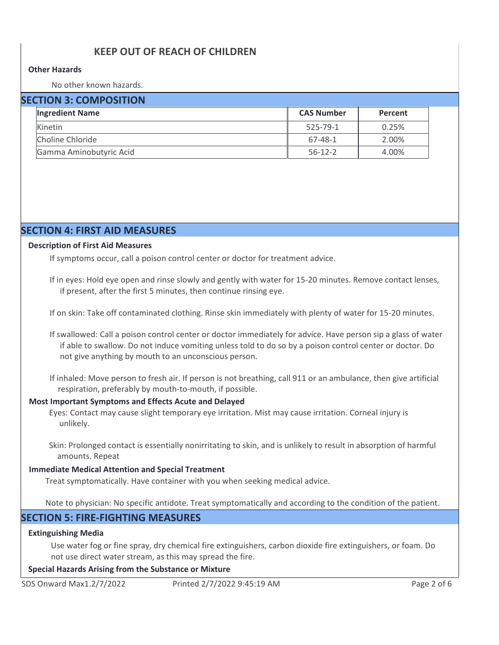# **KEEP OUT OF REACH OF CHILDREN**

### **Other Hazards**

No other known hazards.

| <b>SECTION 3: COMPOSITION</b> |                   |         |  |  |
|-------------------------------|-------------------|---------|--|--|
| <b>Ingredient Name</b>        | <b>CAS Number</b> | Percent |  |  |
| Kinetin                       | 525-79-1          | 0.25%   |  |  |
| Choline Chloride              | 67-48-1           | 2.00%   |  |  |
| Gamma Aminobutyric Acid       | $56-12-2$         | 4.00%   |  |  |

# **SECTION 4: FIRST AID MEASURES**

## **Description of First Aid Measures**

If symptoms occur, call a poison control center or doctor for treatment advice.

If in eyes: Hold eye open and rinse slowly and gently with water for 15-20 minutes. Remove contact lenses, if present, after the first 5 minutes, then continue rinsing eye.

If on skin: Take off contaminated clothing. Rinse skin immediately with plenty of water for 15-20 minutes.

If swallowed: Call a poison control center or doctor immediately for advice. Have person sip a glass of water if able to swallow. Do not induce vomiting unless told to do so by a poison control center or doctor. Do not give anything by mouth to an unconscious person.

If inhaled: Move person to fresh air. If person is not breathing, call 911 or an ambulance, then give artificial respiration, preferably by mouth-to-mouth, if possible.

#### **Most Important Symptoms and Effects Acute and Delayed**

Eyes: Contact may cause slight temporary eye irritation. Mist may cause irritation. Corneal injury is unlikely.

Skin: Prolonged contact is essentially nonirritating to skin, and is unlikely to result in absorption of harmful amounts. Repeat

#### **Immediate Medical Attention and Special Treatment**

Treat symptomatically. Have container with you when seeking medical advice.

Note to physician: No specific antidote. Treat symptomatically and according to the condition of the patient.

# **SECTION 5: FIRE-FIGHTING MEASURES**

#### **Extinguishing Media**

Use water fog or fine spray, dry chemical fire extinguishers, carbon dioxide fire extinguishers, or foam. Do not use direct water stream, as this may spread the fire.

## **Special Hazards Arising from the Substance or Mixture**

SDS Onward Max1.2/7/2022 Printed 2/7/2022 9:45:19 AM Page 2 of 6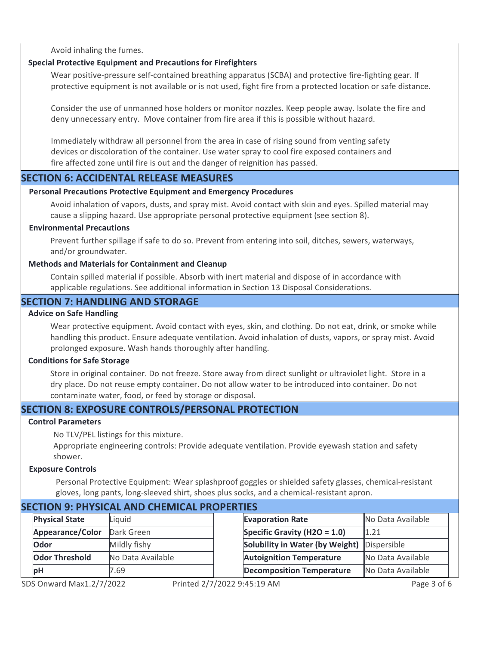Avoid inhaling the fumes.

## **Special Protective Equipment and Precautions for Firefighters**

Wear positive-pressure self-contained breathing apparatus (SCBA) and protective fire-fighting gear. If protective equipment is not available or is not used, fight fire from a protected location or safe distance.

Consider the use of unmanned hose holders or monitor nozzles. Keep people away. Isolate the fire and deny unnecessary entry. Move container from fire area if this is possible without hazard.

Immediately withdraw all personnel from the area in case of rising sound from venting safety devices or discoloration of the container. Use water spray to cool fire exposed containers and fire affected zone until fire is out and the danger of reignition has passed.

# **SECTION 6: ACCIDENTAL RELEASE MEASURES**

## **Personal Precautions Protective Equipment and Emergency Procedures**

Avoid inhalation of vapors, dusts, and spray mist. Avoid contact with skin and eyes. Spilled material may cause a slipping hazard. Use appropriate personal protective equipment (see section 8).

## **Environmental Precautions**

Prevent further spillage if safe to do so. Prevent from entering into soil, ditches, sewers, waterways, and/or groundwater.

## **Methods and Materials for Containment and Cleanup**

Contain spilled material if possible. Absorb with inert material and dispose of in accordance with applicable regulations. See additional information in Section 13 Disposal Considerations.

# **SECTION 7: HANDLING AND STORAGE**

### **Advice on Safe Handling**

Wear protective equipment. Avoid contact with eyes, skin, and clothing. Do not eat, drink, or smoke while handling this product. Ensure adequate ventilation. Avoid inhalation of dusts, vapors, or spray mist. Avoid prolonged exposure. Wash hands thoroughly after handling.

## **Conditions for Safe Storage**

Store in original container. Do not freeze. Store away from direct sunlight or ultraviolet light. Store in a dry place. Do not reuse empty container. Do not allow water to be introduced into container. Do not contaminate water, food, or feed by storage or disposal.

# **SECTION 8: EXPOSURE CONTROLS/PERSONAL PROTECTION**

## **Control Parameters**

No TLV/PEL listings for this mixture.

Appropriate engineering controls: Provide adequate ventilation. Provide eyewash station and safety shower.

## **Exposure Controls**

Personal Protective Equipment: Wear splashproof goggles or shielded safety glasses, chemical-resistant gloves, long pants, long-sleeved shirt, shoes plus socks, and a chemical-resistant apron.

| <b>SECTION 9: PHYSICAL AND CHEMICAL PROPERTIES</b> |                       |                   |  |                                             |                   |  |  |
|----------------------------------------------------|-----------------------|-------------------|--|---------------------------------------------|-------------------|--|--|
|                                                    | <b>Physical State</b> | Liquid            |  | <b>Evaporation Rate</b>                     | No Data Available |  |  |
|                                                    | Appearance/Color      | Dark Green        |  | Specific Gravity (H2O = $1.0$ )             | 1.21              |  |  |
|                                                    | Odor                  | Mildly fishy      |  | Solubility in Water (by Weight) Dispersible |                   |  |  |
|                                                    | <b>Odor Threshold</b> | No Data Available |  | <b>Autoignition Temperature</b>             | No Data Available |  |  |
|                                                    | <b>bH</b>             | 7.69              |  | <b>Decomposition Temperature</b>            | No Data Available |  |  |

SDS Onward Max $1.2/7/2022$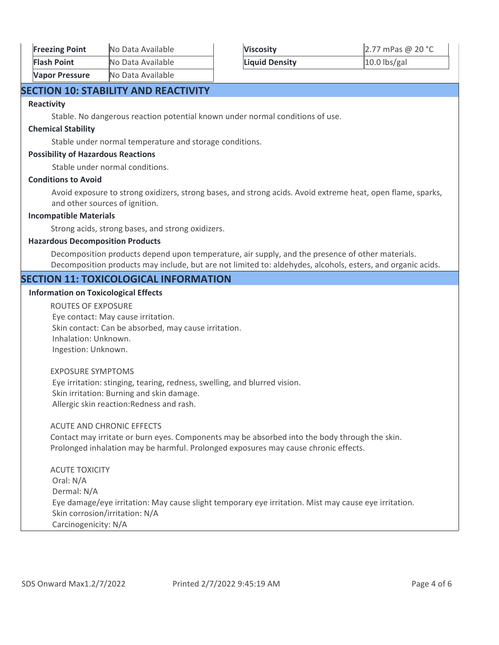| <b>Freezing Point</b> | No Data Available |
|-----------------------|-------------------|
| <b>Flash Point</b>    | No Data Available |
| <b>Vapor Pressure</b> | No Data Available |

| <b>Viscosity</b>      | 2.77 mPas @ 20 °C |
|-----------------------|-------------------|
| <b>Liquid Density</b> | 10.0 lbs/gal      |

# **SECTION 10: STABILITY AND REACTIVITY**

#### **Reactivity**

Stable. No dangerous reaction potential known under normal conditions of use.

# **Chemical Stability**

Stable under normal temperature and storage conditions.

### **Possibility of Hazardous Reactions**

Stable under normal conditions.

### **Conditions to Avoid**

Avoid exposure to strong oxidizers, strong bases, and strong acids. Avoid extreme heat, open flame, sparks, and other sources of ignition.

### **Incompatible Materials**

Strong acids, strong bases, and strong oxidizers.

### **Hazardous Decomposition Products**

Decomposition products depend upon temperature, air supply, and the presence of other materials. Decomposition products may include, but are not limited to: aldehydes, alcohols, esters, and organic acids.

# **SECTION 11: TOXICOLOGICAL INFORMATION**

### **Information on Toxicological Effects**

ROUTES OF EXPOSURE Eye contact: May cause irritation. Skin contact: Can be absorbed, may cause irritation. Inhalation: Unknown. Ingestion: Unknown.

EXPOSURE SYMPTOMS Eye irritation: stinging, tearing, redness, swelling, and blurred vision. Skin irritation: Burning and skin damage. Allergic skin reaction:Redness and rash.

## ACUTE AND CHRONIC EFFECTS

Contact may irritate or burn eyes. Components may be absorbed into the body through the skin. Prolonged inhalation may be harmful. Prolonged exposures may cause chronic effects.

ACUTE TOXICITY Oral: N/A Dermal: N/A Eye damage/eye irritation: May cause slight temporary eye irritation. Mist may cause eye irritation. Skin corrosion/irritation: N/A Carcinogenicity: N/A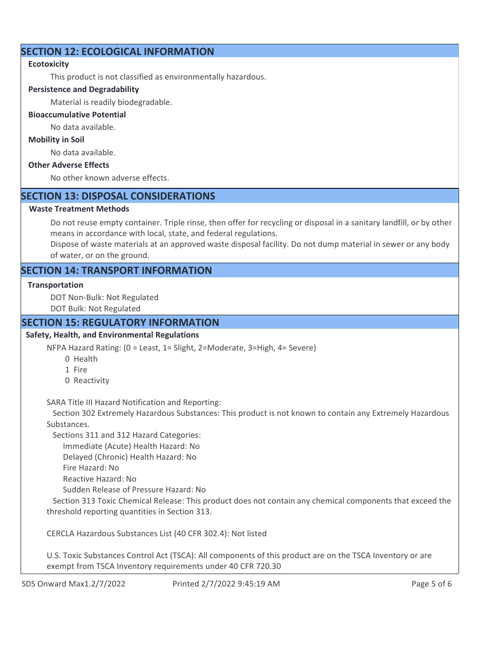# **SECTION 12: ECOLOGICAL INFORMATION**

## **Ecotoxicity**

This product is not classified as environmentally hazardous.

### **Persistence and Degradability**

Material is readily biodegradable.

### **Bioaccumulative Potential**

No data available.

### **Mobility in Soil**

No data available.

## **Other Adverse Effects**

No other known adverse effects.

# **SECTION 13: DISPOSAL CONSIDERATIONS**

## **Waste Treatment Methods**

Do not reuse empty container. Triple rinse, then offer for recycling or disposal in a sanitary landfill, or by other means in accordance with local, state, and federal regulations.

Dispose of waste materials at an approved waste disposal facility. Do not dump material in sewer or any body of water, or on the ground.

# **SECTION 14: TRANSPORT INFORMATION**

### **Transportation**

DOT Non-Bulk: Not Regulated

DOT Bulk: Not Regulated

# **SECTION 15: REGULATORY INFORMATION**

## **Safety, Health, and Environmental Regulations**

NFPA Hazard Rating: (0 = Least, 1= Slight, 2=Moderate, 3=High, 4= Severe)

- 0 Health
- 1 Fire
- 0 Reactivity

SARA Title III Hazard Notification and Reporting:

 Section 302 Extremely Hazardous Substances: This product is not known to contain any Extremely Hazardous Substances.

Sections 311 and 312 Hazard Categories:

Immediate (Acute) Health Hazard: No

Delayed (Chronic) Health Hazard: No

Fire Hazard: No

Reactive Hazard: No

Sudden Release of Pressure Hazard: No

 Section 313 Toxic Chemical Release: This product does not contain any chemical components that exceed the threshold reporting quantities in Section 313.

CERCLA Hazardous Substances List (40 CFR 302.4): Not listed

U.S. Toxic Substances Control Act (TSCA): All components of this product are on the TSCA Inventory or are exempt from TSCA Inventory requirements under 40 CFR 720.30